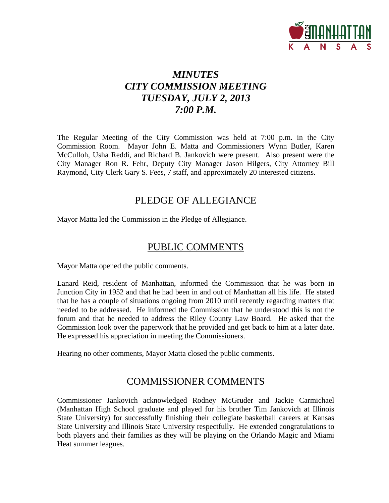

# *MINUTES CITY COMMISSION MEETING TUESDAY, JULY 2, 2013 7:00 P.M.*

The Regular Meeting of the City Commission was held at 7:00 p.m. in the City Commission Room. Mayor John E. Matta and Commissioners Wynn Butler, Karen McCulloh, Usha Reddi, and Richard B. Jankovich were present. Also present were the City Manager Ron R. Fehr, Deputy City Manager Jason Hilgers, City Attorney Bill Raymond, City Clerk Gary S. Fees, 7 staff, and approximately 20 interested citizens.

# PLEDGE OF ALLEGIANCE

Mayor Matta led the Commission in the Pledge of Allegiance.

# PUBLIC COMMENTS

Mayor Matta opened the public comments.

Lanard Reid, resident of Manhattan, informed the Commission that he was born in Junction City in 1952 and that he had been in and out of Manhattan all his life. He stated that he has a couple of situations ongoing from 2010 until recently regarding matters that needed to be addressed. He informed the Commission that he understood this is not the forum and that he needed to address the Riley County Law Board. He asked that the Commission look over the paperwork that he provided and get back to him at a later date. He expressed his appreciation in meeting the Commissioners.

Hearing no other comments, Mayor Matta closed the public comments.

# COMMISSIONER COMMENTS

Commissioner Jankovich acknowledged Rodney McGruder and Jackie Carmichael (Manhattan High School graduate and played for his brother Tim Jankovich at Illinois State University) for successfully finishing their collegiate basketball careers at Kansas State University and Illinois State University respectfully. He extended congratulations to both players and their families as they will be playing on the Orlando Magic and Miami Heat summer leagues.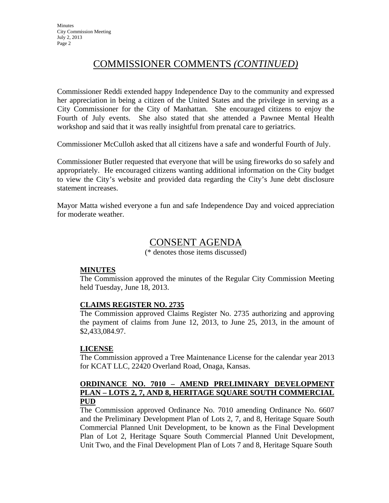# COMMISSIONER COMMENTS *(CONTINUED)*

Commissioner Reddi extended happy Independence Day to the community and expressed her appreciation in being a citizen of the United States and the privilege in serving as a City Commissioner for the City of Manhattan. She encouraged citizens to enjoy the Fourth of July events. She also stated that she attended a Pawnee Mental Health workshop and said that it was really insightful from prenatal care to geriatrics.

Commissioner McCulloh asked that all citizens have a safe and wonderful Fourth of July.

Commissioner Butler requested that everyone that will be using fireworks do so safely and appropriately. He encouraged citizens wanting additional information on the City budget to view the City's website and provided data regarding the City's June debt disclosure statement increases.

Mayor Matta wished everyone a fun and safe Independence Day and voiced appreciation for moderate weather.

# CONSENT AGENDA

(\* denotes those items discussed)

#### **MINUTES**

The Commission approved the minutes of the Regular City Commission Meeting held Tuesday, June 18, 2013.

### **CLAIMS REGISTER NO. 2735**

The Commission approved Claims Register No. 2735 authorizing and approving the payment of claims from June 12, 2013, to June 25, 2013, in the amount of \$2,433,084.97.

#### **LICENSE**

The Commission approved a Tree Maintenance License for the calendar year 2013 for KCAT LLC, 22420 Overland Road, Onaga, Kansas.

### **ORDINANCE NO. 7010 – AMEND PRELIMINARY DEVELOPMENT PLAN – LOTS 2, 7, AND 8, HERITAGE SQUARE SOUTH COMMERCIAL PUD**

The Commission approved Ordinance No. 7010 amending Ordinance No. 6607 and the Preliminary Development Plan of Lots 2, 7, and 8, Heritage Square South Commercial Planned Unit Development, to be known as the Final Development Plan of Lot 2, Heritage Square South Commercial Planned Unit Development, Unit Two, and the Final Development Plan of Lots 7 and 8, Heritage Square South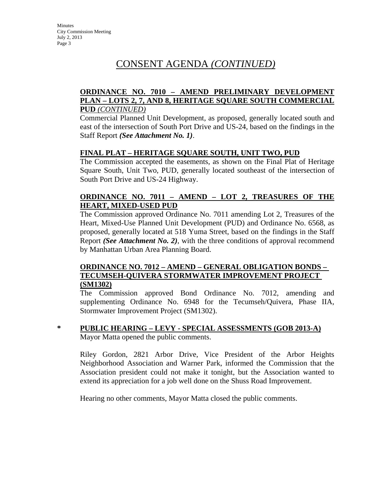#### **ORDINANCE NO. 7010 – AMEND PRELIMINARY DEVELOPMENT PLAN – LOTS 2, 7, AND 8, HERITAGE SQUARE SOUTH COMMERCIAL PUD** *(CONTINUED)*

Commercial Planned Unit Development, as proposed, generally located south and east of the intersection of South Port Drive and US-24, based on the findings in the Staff Report *(See Attachment No. 1)*.

### **FINAL PLAT – HERITAGE SQUARE SOUTH, UNIT TWO, PUD**

The Commission accepted the easements, as shown on the Final Plat of Heritage Square South, Unit Two, PUD, generally located southeast of the intersection of South Port Drive and US-24 Highway.

#### **ORDINANCE NO. 7011 – AMEND – LOT 2, TREASURES OF THE HEART, MIXED-USED PUD**

The Commission approved Ordinance No. 7011 amending Lot 2, Treasures of the Heart, Mixed-Use Planned Unit Development (PUD) and Ordinance No. 6568, as proposed, generally located at 518 Yuma Street, based on the findings in the Staff Report *(See Attachment No. 2)*, with the three conditions of approval recommend by Manhattan Urban Area Planning Board.

#### **ORDINANCE NO. 7012 – AMEND – GENERAL OBLIGATION BONDS – TECUMSEH-QUIVERA STORMWATER IMPROVEMENT PROJECT (SM1302)**

The Commission approved Bond Ordinance No. 7012, amending and supplementing Ordinance No. 6948 for the Tecumseh/Quivera, Phase IIA, Stormwater Improvement Project (SM1302).

**\* PUBLIC HEARING – LEVY - SPECIAL ASSESSMENTS (GOB 2013-A)** Mayor Matta opened the public comments.

Riley Gordon, 2821 Arbor Drive, Vice President of the Arbor Heights Neighborhood Association and Warner Park, informed the Commission that the Association president could not make it tonight, but the Association wanted to extend its appreciation for a job well done on the Shuss Road Improvement.

Hearing no other comments, Mayor Matta closed the public comments.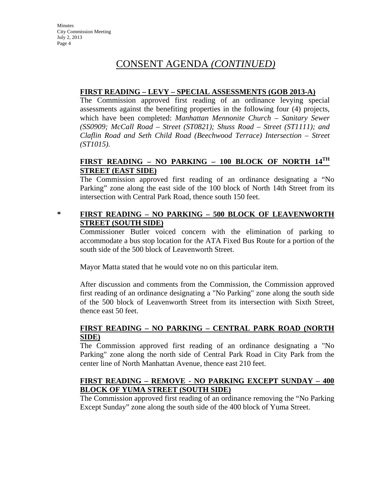### **FIRST READING – LEVY – SPECIAL ASSESSMENTS (GOB 2013-A)**

The Commission approved first reading of an ordinance levying special assessments against the benefiting properties in the following four (4) projects, which have been completed: *Manhattan Mennonite Church – Sanitary Sewer (SS0909; McCall Road – Street (ST0821); Shuss Road – Street (ST1111); and Claflin Road and Seth Child Road (Beechwood Terrace) Intersection – Street (ST1015).* 

### **FIRST READING – NO PARKING – 100 BLOCK OF NORTH 14TH STREET (EAST SIDE)**

The Commission approved first reading of an ordinance designating a "No Parking" zone along the east side of the 100 block of North 14th Street from its intersection with Central Park Road, thence south 150 feet.

### **\* FIRST READING – NO PARKING – 500 BLOCK OF LEAVENWORTH STREET (SOUTH SIDE)**

Commissioner Butler voiced concern with the elimination of parking to accommodate a bus stop location for the ATA Fixed Bus Route for a portion of the south side of the 500 block of Leavenworth Street.

Mayor Matta stated that he would vote no on this particular item.

After discussion and comments from the Commission, the Commission approved first reading of an ordinance designating a "No Parking" zone along the south side of the 500 block of Leavenworth Street from its intersection with Sixth Street, thence east 50 feet.

### **FIRST READING – NO PARKING – CENTRAL PARK ROAD (NORTH SIDE)**

The Commission approved first reading of an ordinance designating a "No Parking" zone along the north side of Central Park Road in City Park from the center line of North Manhattan Avenue, thence east 210 feet.

### **FIRST READING – REMOVE - NO PARKING EXCEPT SUNDAY – 400 BLOCK OF YUMA STREET (SOUTH SIDE)**

The Commission approved first reading of an ordinance removing the "No Parking Except Sunday" zone along the south side of the 400 block of Yuma Street.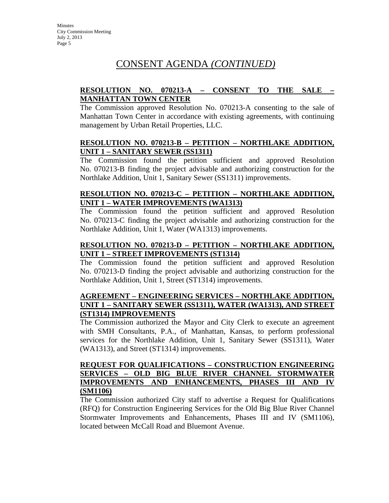### **RESOLUTION NO. 070213-A – CONSENT TO THE SALE – MANHATTAN TOWN CENTER**

The Commission approved Resolution No. 070213-A consenting to the sale of Manhattan Town Center in accordance with existing agreements, with continuing management by Urban Retail Properties, LLC.

### **RESOLUTION NO. 070213-B – PETITION – NORTHLAKE ADDITION, UNIT 1 – SANITARY SEWER (SS1311)**

The Commission found the petition sufficient and approved Resolution No. 070213-B finding the project advisable and authorizing construction for the Northlake Addition, Unit 1, Sanitary Sewer (SS1311) improvements.

### **RESOLUTION NO. 070213-C – PETITION – NORTHLAKE ADDITION, UNIT 1 – WATER IMPROVEMENTS (WA1313)**

The Commission found the petition sufficient and approved Resolution No. 070213-C finding the project advisable and authorizing construction for the Northlake Addition, Unit 1, Water (WA1313) improvements.

### **RESOLUTION NO. 070213-D – PETITION – NORTHLAKE ADDITION, UNIT 1 – STREET IMPROVEMENTS (ST1314)**

The Commission found the petition sufficient and approved Resolution No. 070213-D finding the project advisable and authorizing construction for the Northlake Addition, Unit 1, Street (ST1314) improvements.

#### **AGREEMENT – ENGINEERING SERVICES – NORTHLAKE ADDITION, UNIT 1 – SANITARY SEWER (SS1311), WATER (WA1313), AND STREET (ST1314) IMPROVEMENTS**

The Commission authorized the Mayor and City Clerk to execute an agreement with SMH Consultants, P.A., of Manhattan, Kansas, to perform professional services for the Northlake Addition, Unit 1, Sanitary Sewer (SS1311), Water (WA1313), and Street (ST1314) improvements.

### **REQUEST FOR QUALIFICATIONS – CONSTRUCTION ENGINEERING SERVICES – OLD BIG BLUE RIVER CHANNEL STORMWATER IMPROVEMENTS AND ENHANCEMENTS, PHASES III AND IV (SM1106)**

The Commission authorized City staff to advertise a Request for Qualifications (RFQ) for Construction Engineering Services for the Old Big Blue River Channel Stormwater Improvements and Enhancements, Phases III and IV (SM1106), located between McCall Road and Bluemont Avenue.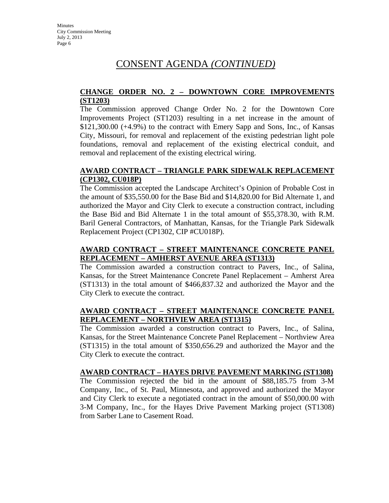#### **CHANGE ORDER NO. 2 – DOWNTOWN CORE IMPROVEMENTS (ST1203)**

The Commission approved Change Order No. 2 for the Downtown Core Improvements Project (ST1203) resulting in a net increase in the amount of \$121,300.00 (+4.9%) to the contract with Emery Sapp and Sons, Inc., of Kansas City, Missouri, for removal and replacement of the existing pedestrian light pole foundations, removal and replacement of the existing electrical conduit, and removal and replacement of the existing electrical wiring.

### **AWARD CONTRACT – TRIANGLE PARK SIDEWALK REPLACEMENT (CP1302, CU018P)**

The Commission accepted the Landscape Architect's Opinion of Probable Cost in the amount of \$35,550.00 for the Base Bid and \$14,820.00 for Bid Alternate 1, and authorized the Mayor and City Clerk to execute a construction contract, including the Base Bid and Bid Alternate 1 in the total amount of \$55,378.30, with R.M. Baril General Contractors, of Manhattan, Kansas, for the Triangle Park Sidewalk Replacement Project (CP1302, CIP #CU018P).

### **AWARD CONTRACT – STREET MAINTENANCE CONCRETE PANEL REPLACEMENT – AMHERST AVENUE AREA (ST1313)**

The Commission awarded a construction contract to Pavers, Inc., of Salina, Kansas, for the Street Maintenance Concrete Panel Replacement – Amherst Area (ST1313) in the total amount of \$466,837.32 and authorized the Mayor and the City Clerk to execute the contract.

### **AWARD CONTRACT – STREET MAINTENANCE CONCRETE PANEL REPLACEMENT – NORTHVIEW AREA (ST1315)**

The Commission awarded a construction contract to Pavers, Inc., of Salina, Kansas, for the Street Maintenance Concrete Panel Replacement – Northview Area (ST1315) in the total amount of \$350,656.29 and authorized the Mayor and the City Clerk to execute the contract.

#### **AWARD CONTRACT – HAYES DRIVE PAVEMENT MARKING (ST1308)**

The Commission rejected the bid in the amount of \$88,185.75 from 3-M Company, Inc., of St. Paul, Minnesota, and approved and authorized the Mayor and City Clerk to execute a negotiated contract in the amount of \$50,000.00 with 3-M Company, Inc., for the Hayes Drive Pavement Marking project (ST1308) from Sarber Lane to Casement Road.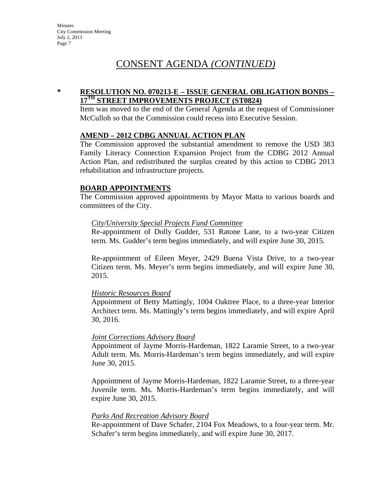#### **\* RESOLUTION NO. 070213-E – ISSUE GENERAL OBLIGATION BONDS – 17TH STREET IMPROVEMENTS PROJECT (ST0824)**

Item was moved to the end of the General Agenda at the request of Commissioner McCulloh so that the Commission could recess into Executive Session.

#### **AMEND – 2012 CDBG ANNUAL ACTION PLAN**

The Commission approved the substantial amendment to remove the USD 383 Family Literacy Connection Expansion Project from the CDBG 2012 Annual Action Plan, and redistributed the surplus created by this action to CDBG 2013 rehabilitation and infrastructure projects.

#### **BOARD APPOINTMENTS**

The Commission approved appointments by Mayor Matta to various boards and committees of the City.

#### *City/University Special Projects Fund Committee*

Re-appointment of Dolly Gudder, 531 Ratone Lane, to a two-year Citizen term. Ms. Gudder's term begins immediately, and will expire June 30, 2015.

Re-appointment of Eileen Meyer, 2429 Buena Vista Drive, to a two-year Citizen term. Ms. Meyer's term begins immediately, and will expire June 30, 2015.

#### *Historic Resources Board*

Appointment of Betty Mattingly, 1004 Oaktree Place, to a three-year Interior Architect term. Ms. Mattingly's term begins immediately, and will expire April 30, 2016.

#### *Joint Corrections Advisory Board*

Appointment of Jayme Morris-Hardeman, 1822 Laramie Street, to a two-year Adult term. Ms. Morris-Hardeman's term begins immediately, and will expire June 30, 2015.

Appointment of Jayme Morris-Hardeman, 1822 Laramie Street, to a three-year Juvenile term. Ms. Morris-Hardeman's term begins immediately, and will expire June 30, 2015.

#### *Parks And Recreation Advisory Board*

Re-appointment of Dave Schafer, 2104 Fox Meadows, to a four-year term. Mr. Schafer's term begins immediately, and will expire June 30, 2017.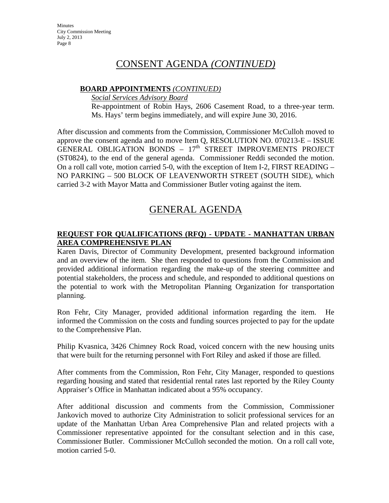# CONSENT AGENDA *(CONTINUED)*

#### **BOARD APPOINTMENTS** *(CONTINUED)*

*Social Services Advisory Board*

Re-appointment of Robin Hays, 2606 Casement Road, to a three-year term. Ms. Hays' term begins immediately, and will expire June 30, 2016.

After discussion and comments from the Commission, Commissioner McCulloh moved to approve the consent agenda and to move Item Q, RESOLUTION NO. 070213-E – ISSUE GENERAL OBLIGATION BONDS  $-17<sup>th</sup>$  STREET IMPROVEMENTS PROJECT (ST0824), to the end of the general agenda. Commissioner Reddi seconded the motion. On a roll call vote, motion carried 5-0, with the exception of Item I-2, FIRST READING – NO PARKING – 500 BLOCK OF LEAVENWORTH STREET (SOUTH SIDE), which carried 3-2 with Mayor Matta and Commissioner Butler voting against the item.

# GENERAL AGENDA

### **REQUEST FOR QUALIFICATIONS (RFQ) - UPDATE - MANHATTAN URBAN AREA COMPREHENSIVE PLAN**

Karen Davis, Director of Community Development, presented background information and an overview of the item. She then responded to questions from the Commission and provided additional information regarding the make-up of the steering committee and potential stakeholders, the process and schedule, and responded to additional questions on the potential to work with the Metropolitan Planning Organization for transportation planning.

Ron Fehr, City Manager, provided additional information regarding the item. He informed the Commission on the costs and funding sources projected to pay for the update to the Comprehensive Plan.

Philip Kvasnica, 3426 Chimney Rock Road, voiced concern with the new housing units that were built for the returning personnel with Fort Riley and asked if those are filled.

After comments from the Commission, Ron Fehr, City Manager, responded to questions regarding housing and stated that residential rental rates last reported by the Riley County Appraiser's Office in Manhattan indicated about a 95% occupancy.

After additional discussion and comments from the Commission, Commissioner Jankovich moved to authorize City Administration to solicit professional services for an update of the Manhattan Urban Area Comprehensive Plan and related projects with a Commissioner representative appointed for the consultant selection and in this case, Commissioner Butler. Commissioner McCulloh seconded the motion. On a roll call vote, motion carried 5-0.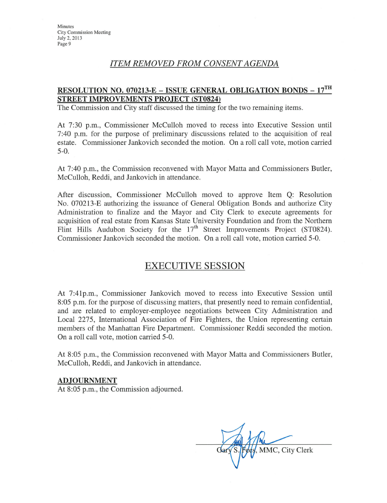### **ITEM REMOVED FROM CONSENT AGENDA**

## **RESOLUTION NO. 070213-E - ISSUE GENERAL OBLIGATION BONDS - 17TH STREET IMPROVEMENTS PROJECT (ST0824)**

The Commission and City staff discussed the timing for the two remaining items.

At 7:30 p.m., Commissioner McCulloh moved to recess into Executive Session until 7:40 p.m. for the purpose of preliminary discussions related to the acquisition of real estate. Commissioner Jankovich seconded the motion. On a roll call vote, motion carried  $5-0.$ 

At 7:40 p.m., the Commission reconvened with Mayor Matta and Commissioners Butler, McCulloh, Reddi, and Jankovich in attendance.

After discussion, Commissioner McCulloh moved to approve Item Q: Resolution No. 070213-E authorizing the issuance of General Obligation Bonds and authorize City Administration to finalize and the Mayor and City Clerk to execute agreements for acquisition of real estate from Kansas State University Foundation and from the Northern Flint Hills Audubon Society for the  $17<sup>th</sup>$  Street Improvements Project (ST0824). Commissioner Jankovich seconded the motion. On a roll call vote, motion carried 5-0.

## **EXECUTIVE SESSION**

At 7:41p.m., Commissioner Jankovich moved to recess into Executive Session until 8:05 p.m. for the purpose of discussing matters, that presently need to remain confidential, and are related to employer-employee negotiations between City Administration and Local 2275, International Association of Fire Fighters, the Union representing certain members of the Manhattan Fire Department. Commissioner Reddi seconded the motion. On a roll call vote, motion carried 5-0.

At 8:05 p.m., the Commission reconvened with Mayor Matta and Commissioners Butler, McCulloh, Reddi, and Jankovich in attendance.

#### **ADJOURNMENT**

At 8:05 p.m., the Commission adjourned.

MMC, City Clerk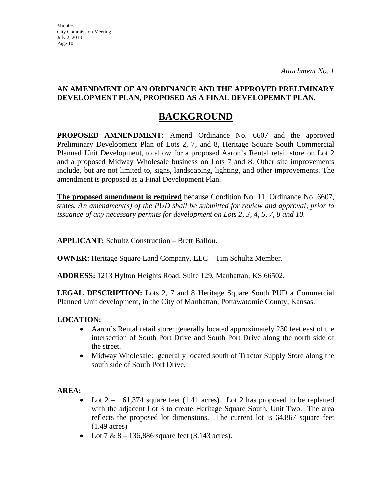**Minutes** City Commission Meeting July 2, 2013 Page 10

### **AN AMENDMENT OF AN ORDINANCE AND THE APPROVED PRELIMINARY DEVELOPMENT PLAN, PROPOSED AS A FINAL DEVELOPEMNT PLAN.**

# **BACKGROUND**

**PROPOSED AMNENDMENT:** Amend Ordinance No. 6607 and the approved Preliminary Development Plan of Lots 2, 7, and 8, Heritage Square South Commercial Planned Unit Development, to allow for a proposed Aaron's Rental retail store on Lot 2 and a proposed Midway Wholesale business on Lots 7 and 8. Other site improvements include, but are not limited to, signs, landscaping, lighting, and other improvements. The amendment is proposed as a Final Development Plan.

**The proposed amendment is required** because Condition No. 11, Ordinance No .6607, states, *An amendment(s) of the PUD shall be submitted for review and approval, prior to issuance of any necessary permits for development on Lots 2, 3, 4, 5, 7, 8 and 10.*

**APPLICANT:** Schultz Construction – Brett Ballou.

**OWNER:** Heritage Square Land Company, LLC – Tim Schultz Member.

**ADDRESS:** 1213 Hylton Heights Road, Suite 129, Manhattan, KS 66502.

**LEGAL DESCRIPTION:** Lots 2, 7 and 8 Heritage Square South PUD a Commercial Planned Unit development, in the City of Manhattan, Pottawatomie County, Kansas.

## **LOCATION:**

- Aaron's Rental retail store: generally located approximately 230 feet east of the intersection of South Port Drive and South Port Drive along the north side of the street.
- Midway Wholesale: generally located south of Tractor Supply Store along the south side of South Port Drive.

### **AREA:**

- Lot  $2 61,374$  square feet (1.41 acres). Lot 2 has proposed to be replatted with the adjacent Lot 3 to create Heritage Square South, Unit Two. The area reflects the proposed lot dimensions. The current lot is 64,867 square feet (1.49 acres)
- Lot  $7 & 8 136,886$  square feet (3.143 acres).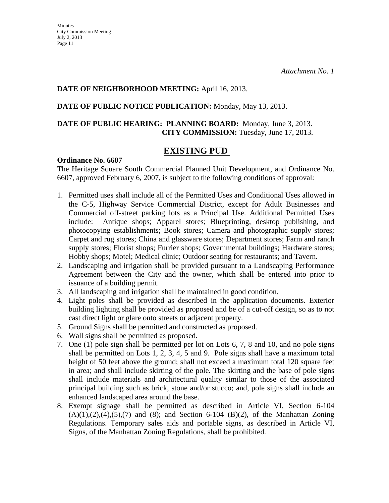#### **DATE OF NEIGHBORHOOD MEETING:** April 16, 2013.

#### **DATE OF PUBLIC NOTICE PUBLICATION:** Monday, May 13, 2013.

## **DATE OF PUBLIC HEARING: PLANNING BOARD:** Monday, June 3, 2013. **CITY COMMISSION:** Tuesday, June 17, 2013.

## **EXISTING PUD**

#### **Ordinance No. 6607**

The Heritage Square South Commercial Planned Unit Development, and Ordinance No. 6607, approved February 6, 2007, is subject to the following conditions of approval:

- 1. Permitted uses shall include all of the Permitted Uses and Conditional Uses allowed in the C-5, Highway Service Commercial District, except for Adult Businesses and Commercial off-street parking lots as a Principal Use. Additional Permitted Uses include: Antique shops; Apparel stores; Blueprinting, desktop publishing, and photocopying establishments; Book stores; Camera and photographic supply stores; Carpet and rug stores; China and glassware stores; Department stores; Farm and ranch supply stores; Florist shops; Furrier shops; Governmental buildings; Hardware stores; Hobby shops; Motel; Medical clinic; Outdoor seating for restaurants; and Tavern.
- 2. Landscaping and irrigation shall be provided pursuant to a Landscaping Performance Agreement between the City and the owner, which shall be entered into prior to issuance of a building permit.
- 3. All landscaping and irrigation shall be maintained in good condition.
- 4. Light poles shall be provided as described in the application documents. Exterior building lighting shall be provided as proposed and be of a cut-off design, so as to not cast direct light or glare onto streets or adjacent property.
- 5. Ground Signs shall be permitted and constructed as proposed.
- 6. Wall signs shall be permitted as proposed.
- 7. One (1) pole sign shall be permitted per lot on Lots 6, 7, 8 and 10, and no pole signs shall be permitted on Lots 1, 2, 3, 4, 5 and 9. Pole signs shall have a maximum total height of 50 feet above the ground; shall not exceed a maximum total 120 square feet in area; and shall include skirting of the pole. The skirting and the base of pole signs shall include materials and architectural quality similar to those of the associated principal building such as brick, stone and/or stucco; and, pole signs shall include an enhanced landscaped area around the base.
- 8. Exempt signage shall be permitted as described in Article VI, Section 6-104  $(A)(1),(2),(4),(5),(7)$  and  $(8)$ ; and Section 6-104  $(B)(2)$ , of the Manhattan Zoning Regulations. Temporary sales aids and portable signs, as described in Article VI, Signs, of the Manhattan Zoning Regulations, shall be prohibited.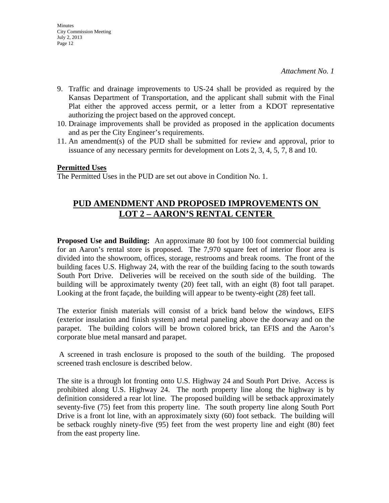- 9. Traffic and drainage improvements to US-24 shall be provided as required by the Kansas Department of Transportation, and the applicant shall submit with the Final Plat either the approved access permit, or a letter from a KDOT representative authorizing the project based on the approved concept.
- 10. Drainage improvements shall be provided as proposed in the application documents and as per the City Engineer's requirements.
- 11. An amendment(s) of the PUD shall be submitted for review and approval, prior to issuance of any necessary permits for development on Lots 2, 3, 4, 5, 7, 8 and 10.

#### **Permitted Uses**

The Permitted Uses in the PUD are set out above in Condition No. 1.

# **PUD AMENDMENT AND PROPOSED IMPROVEMENTS ON LOT 2 – AARON'S RENTAL CENTER**

**Proposed Use and Building:** An approximate 80 foot by 100 foot commercial building for an Aaron's rental store is proposed. The 7,970 square feet of interior floor area is divided into the showroom, offices, storage, restrooms and break rooms. The front of the building faces U.S. Highway 24, with the rear of the building facing to the south towards South Port Drive. Deliveries will be received on the south side of the building. The building will be approximately twenty (20) feet tall, with an eight (8) foot tall parapet. Looking at the front façade, the building will appear to be twenty-eight (28) feet tall.

The exterior finish materials will consist of a brick band below the windows, EIFS (exterior insulation and finish system) and metal paneling above the doorway and on the parapet. The building colors will be brown colored brick, tan EFIS and the Aaron's corporate blue metal mansard and parapet.

 A screened in trash enclosure is proposed to the south of the building. The proposed screened trash enclosure is described below.

The site is a through lot fronting onto U.S. Highway 24 and South Port Drive. Access is prohibited along U.S. Highway 24. The north property line along the highway is by definition considered a rear lot line. The proposed building will be setback approximately seventy-five (75) feet from this property line. The south property line along South Port Drive is a front lot line, with an approximately sixty (60) foot setback. The building will be setback roughly ninety-five (95) feet from the west property line and eight (80) feet from the east property line.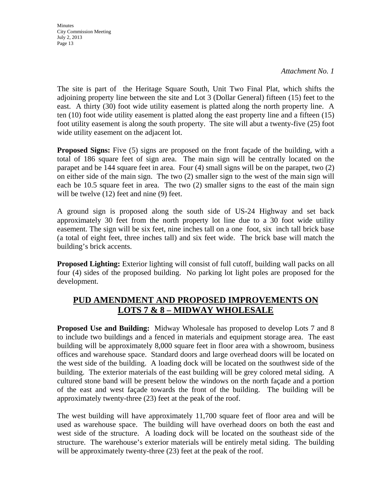*Attachment No. 1*

The site is part of the Heritage Square South, Unit Two Final Plat, which shifts the adjoining property line between the site and Lot 3 (Dollar General) fifteen (15) feet to the east. A thirty (30) foot wide utility easement is platted along the north property line. A ten (10) foot wide utility easement is platted along the east property line and a fifteen (15) foot utility easement is along the south property. The site will abut a twenty-five (25) foot wide utility easement on the adjacent lot.

**Proposed Signs:** Five (5) signs are proposed on the front façade of the building, with a total of 186 square feet of sign area. The main sign will be centrally located on the parapet and be 144 square feet in area. Four (4) small signs will be on the parapet, two (2) on either side of the main sign. The two (2) smaller sign to the west of the main sign will each be 10.5 square feet in area. The two (2) smaller signs to the east of the main sign will be twelve (12) feet and nine (9) feet.

A ground sign is proposed along the south side of US-24 Highway and set back approximately 30 feet from the north property lot line due to a 30 foot wide utility easement. The sign will be six feet, nine inches tall on a one foot, six inch tall brick base (a total of eight feet, three inches tall) and six feet wide. The brick base will match the building's brick accents.

**Proposed Lighting:** Exterior lighting will consist of full cutoff, building wall packs on all four (4) sides of the proposed building. No parking lot light poles are proposed for the development.

# **PUD AMENDMENT AND PROPOSED IMPROVEMENTS ON LOTS 7 & 8 – MIDWAY WHOLESALE**

**Proposed Use and Building:** Midway Wholesale has proposed to develop Lots 7 and 8 to include two buildings and a fenced in materials and equipment storage area. The east building will be approximately 8,000 square feet in floor area with a showroom, business offices and warehouse space. Standard doors and large overhead doors will be located on the west side of the building. A loading dock will be located on the southwest side of the building. The exterior materials of the east building will be grey colored metal siding. A cultured stone band will be present below the windows on the north façade and a portion of the east and west façade towards the front of the building. The building will be approximately twenty-three (23) feet at the peak of the roof.

The west building will have approximately 11,700 square feet of floor area and will be used as warehouse space. The building will have overhead doors on both the east and west side of the structure. A loading dock will be located on the southeast side of the structure. The warehouse's exterior materials will be entirely metal siding. The building will be approximately twenty-three  $(23)$  feet at the peak of the roof.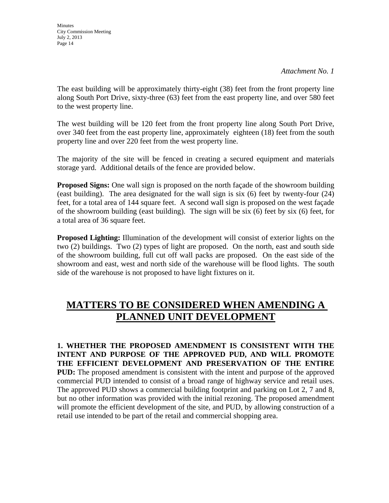*Attachment No. 1*

The east building will be approximately thirty-eight (38) feet from the front property line along South Port Drive, sixty-three (63) feet from the east property line, and over 580 feet to the west property line.

The west building will be 120 feet from the front property line along South Port Drive, over 340 feet from the east property line, approximately eighteen (18) feet from the south property line and over 220 feet from the west property line.

The majority of the site will be fenced in creating a secured equipment and materials storage yard. Additional details of the fence are provided below.

**Proposed Signs:** One wall sign is proposed on the north façade of the showroom building (east building). The area designated for the wall sign is six (6) feet by twenty-four (24) feet, for a total area of 144 square feet. A second wall sign is proposed on the west façade of the showroom building (east building). The sign will be six (6) feet by six (6) feet, for a total area of 36 square feet.

**Proposed Lighting:** Illumination of the development will consist of exterior lights on the two (2) buildings. Two (2) types of light are proposed. On the north, east and south side of the showroom building, full cut off wall packs are proposed. On the east side of the showroom and east, west and north side of the warehouse will be flood lights. The south side of the warehouse is not proposed to have light fixtures on it.

# **MATTERS TO BE CONSIDERED WHEN AMENDING A PLANNED UNIT DEVELOPMENT**

**1. WHETHER THE PROPOSED AMENDMENT IS CONSISTENT WITH THE INTENT AND PURPOSE OF THE APPROVED PUD, AND WILL PROMOTE THE EFFICIENT DEVELOPMENT AND PRESERVATION OF THE ENTIRE PUD:** The proposed amendment is consistent with the intent and purpose of the approved commercial PUD intended to consist of a broad range of highway service and retail uses. The approved PUD shows a commercial building footprint and parking on Lot 2, 7 and 8, but no other information was provided with the initial rezoning. The proposed amendment will promote the efficient development of the site, and PUD, by allowing construction of a retail use intended to be part of the retail and commercial shopping area.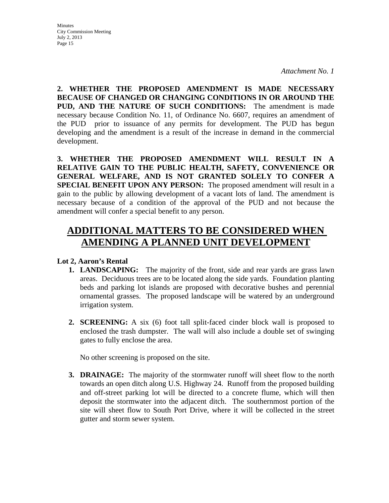**2. WHETHER THE PROPOSED AMENDMENT IS MADE NECESSARY BECAUSE OF CHANGED OR CHANGING CONDITIONS IN OR AROUND THE PUD, AND THE NATURE OF SUCH CONDITIONS:** The amendment is made necessary because Condition No. 11, of Ordinance No. 6607, requires an amendment of the PUD prior to issuance of any permits for development. The PUD has begun developing and the amendment is a result of the increase in demand in the commercial development.

**3. WHETHER THE PROPOSED AMENDMENT WILL RESULT IN A RELATIVE GAIN TO THE PUBLIC HEALTH, SAFETY, CONVENIENCE OR GENERAL WELFARE, AND IS NOT GRANTED SOLELY TO CONFER A SPECIAL BENEFIT UPON ANY PERSON:** The proposed amendment will result in a gain to the public by allowing development of a vacant lots of land. The amendment is necessary because of a condition of the approval of the PUD and not because the amendment will confer a special benefit to any person.

# **ADDITIONAL MATTERS TO BE CONSIDERED WHEN AMENDING A PLANNED UNIT DEVELOPMENT**

### **Lot 2, Aaron's Rental**

- **1. LANDSCAPING:** The majority of the front, side and rear yards are grass lawn areas. Deciduous trees are to be located along the side yards. Foundation planting beds and parking lot islands are proposed with decorative bushes and perennial ornamental grasses. The proposed landscape will be watered by an underground irrigation system.
- **2. SCREENING:** A six (6) foot tall split-faced cinder block wall is proposed to enclosed the trash dumpster. The wall will also include a double set of swinging gates to fully enclose the area.

No other screening is proposed on the site.

**3. DRAINAGE:** The majority of the stormwater runoff will sheet flow to the north towards an open ditch along U.S. Highway 24. Runoff from the proposed building and off-street parking lot will be directed to a concrete flume, which will then deposit the stormwater into the adjacent ditch. The southernmost portion of the site will sheet flow to South Port Drive, where it will be collected in the street gutter and storm sewer system.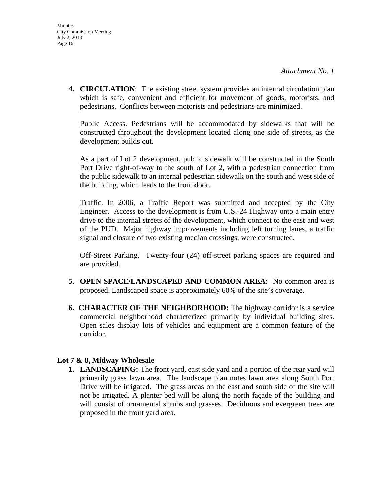**4. CIRCULATION**: The existing street system provides an internal circulation plan which is safe, convenient and efficient for movement of goods, motorists, and pedestrians. Conflicts between motorists and pedestrians are minimized.

Public Access. Pedestrians will be accommodated by sidewalks that will be constructed throughout the development located along one side of streets, as the development builds out.

As a part of Lot 2 development, public sidewalk will be constructed in the South Port Drive right-of-way to the south of Lot 2, with a pedestrian connection from the public sidewalk to an internal pedestrian sidewalk on the south and west side of the building, which leads to the front door.

Traffic. In 2006, a Traffic Report was submitted and accepted by the City Engineer. Access to the development is from U.S.-24 Highway onto a main entry drive to the internal streets of the development, which connect to the east and west of the PUD. Major highway improvements including left turning lanes, a traffic signal and closure of two existing median crossings, were constructed.

Off-Street Parking. Twenty-four (24) off-street parking spaces are required and are provided.

- **5. OPEN SPACE/LANDSCAPED AND COMMON AREA:** No common area is proposed. Landscaped space is approximately 60% of the site's coverage.
- **6. CHARACTER OF THE NEIGHBORHOOD:** The highway corridor is a service commercial neighborhood characterized primarily by individual building sites. Open sales display lots of vehicles and equipment are a common feature of the corridor.

### **Lot 7 & 8, Midway Wholesale**

**1. LANDSCAPING:** The front yard, east side yard and a portion of the rear yard will primarily grass lawn area. The landscape plan notes lawn area along South Port Drive will be irrigated. The grass areas on the east and south side of the site will not be irrigated. A planter bed will be along the north façade of the building and will consist of ornamental shrubs and grasses. Deciduous and evergreen trees are proposed in the front yard area.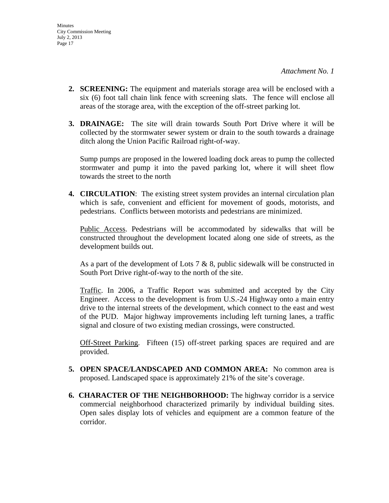- **2. SCREENING:** The equipment and materials storage area will be enclosed with a six (6) foot tall chain link fence with screening slats. The fence will enclose all areas of the storage area, with the exception of the off-street parking lot.
- **3. DRAINAGE:** The site will drain towards South Port Drive where it will be collected by the stormwater sewer system or drain to the south towards a drainage ditch along the Union Pacific Railroad right-of-way.

Sump pumps are proposed in the lowered loading dock areas to pump the collected stormwater and pump it into the paved parking lot, where it will sheet flow towards the street to the north

**4. CIRCULATION**: The existing street system provides an internal circulation plan which is safe, convenient and efficient for movement of goods, motorists, and pedestrians. Conflicts between motorists and pedestrians are minimized.

Public Access. Pedestrians will be accommodated by sidewalks that will be constructed throughout the development located along one side of streets, as the development builds out.

As a part of the development of Lots 7  $\&$  8, public sidewalk will be constructed in South Port Drive right-of-way to the north of the site.

Traffic. In 2006, a Traffic Report was submitted and accepted by the City Engineer. Access to the development is from U.S.-24 Highway onto a main entry drive to the internal streets of the development, which connect to the east and west of the PUD. Major highway improvements including left turning lanes, a traffic signal and closure of two existing median crossings, were constructed.

Off-Street Parking. Fifteen (15) off-street parking spaces are required and are provided.

- **5. OPEN SPACE/LANDSCAPED AND COMMON AREA:** No common area is proposed. Landscaped space is approximately 21% of the site's coverage.
- **6. CHARACTER OF THE NEIGHBORHOOD:** The highway corridor is a service commercial neighborhood characterized primarily by individual building sites. Open sales display lots of vehicles and equipment are a common feature of the corridor.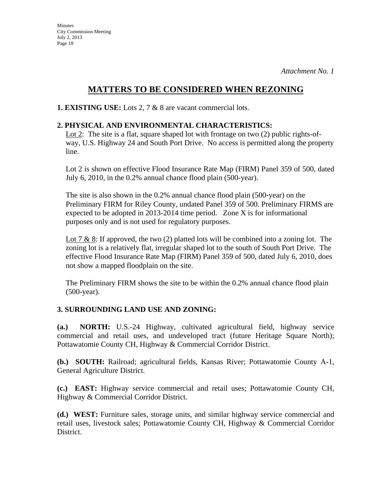# **MATTERS TO BE CONSIDERED WHEN REZONING**

**1. EXISTING USE:** Lots 2, 7 & 8 are vacant commercial lots.

## **2. PHYSICAL AND ENVIRONMENTAL CHARACTERISTICS:**

Lot 2: The site is a flat, square shaped lot with frontage on two (2) public rights-ofway, U.S. Highway 24 and South Port Drive. No access is permitted along the property line.

Lot 2 is shown on effective Flood Insurance Rate Map (FIRM) Panel 359 of 500, dated July 6, 2010, in the 0.2% annual chance flood plain (500-year).

The site is also shown in the 0.2% annual chance flood plain (500-year) on the Preliminary FIRM for Riley County, undated Panel 359 of 500. Preliminary FIRMS are expected to be adopted in 2013-2014 time period. Zone X is for informational purposes only and is not used for regulatory purposes.

Lot 7 & 8: If approved, the two  $(2)$  platted lots will be combined into a zoning lot. The zoning lot is a relatively flat, irregular shaped lot to the south of South Port Drive. The effective Flood Insurance Rate Map (FIRM) Panel 359 of 500, dated July 6, 2010, does not show a mapped floodplain on the site.

The Preliminary FIRM shows the site to be within the 0.2% annual chance flood plain (500-year).

## **3. SURROUNDING LAND USE AND ZONING:**

**(a.) NORTH:** U.S.-24 Highway, cultivated agricultural field, highway service commercial and retail uses, and undeveloped tract (future Heritage Square North); Pottawatomie County CH, Highway & Commercial Corridor District.

**(b.) SOUTH:** Railroad; agricultural fields, Kansas River; Pottawatomie County A-1, General Agriculture District.

**(c.) EAST:** Highway service commercial and retail uses; Pottawatomie County CH, Highway & Commercial Corridor District.

**(d.) WEST:** Furniture sales, storage units, and similar highway service commercial and retail uses, livestock sales; Pottawatomie County CH, Highway & Commercial Corridor District.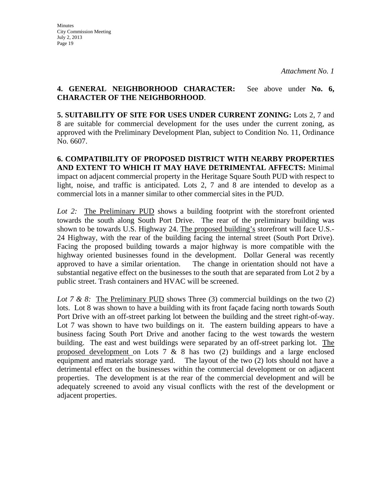### **4. GENERAL NEIGHBORHOOD CHARACTER:** See above under **No. 6, CHARACTER OF THE NEIGHBORHOOD**.

**5. SUITABILITY OF SITE FOR USES UNDER CURRENT ZONING:** Lots 2, 7 and 8 are suitable for commercial development for the uses under the current zoning, as approved with the Preliminary Development Plan, subject to Condition No. 11, Ordinance No. 6607.

**6. COMPATIBILITY OF PROPOSED DISTRICT WITH NEARBY PROPERTIES AND EXTENT TO WHICH IT MAY HAVE DETRIMENTAL AFFECTS:** Minimal impact on adjacent commercial property in the Heritage Square South PUD with respect to light, noise, and traffic is anticipated. Lots 2, 7 and 8 are intended to develop as a commercial lots in a manner similar to other commercial sites in the PUD.

*Lot 2:* The Preliminary PUD shows a building footprint with the storefront oriented towards the south along South Port Drive. The rear of the preliminary building was shown to be towards U.S. Highway 24. The proposed building's storefront will face U.S.- 24 Highway, with the rear of the building facing the internal street (South Port Drive). Facing the proposed building towards a major highway is more compatible with the highway oriented businesses found in the development. Dollar General was recently approved to have a similar orientation. The change in orientation should not have a substantial negative effect on the businesses to the south that are separated from Lot 2 by a public street. Trash containers and HVAC will be screened.

*Lot 7 & 8:* The Preliminary PUD shows Three (3) commercial buildings on the two (2) lots. Lot 8 was shown to have a building with its front façade facing north towards South Port Drive with an off-street parking lot between the building and the street right-of-way. Lot 7 was shown to have two buildings on it. The eastern building appears to have a business facing South Port Drive and another facing to the west towards the western building. The east and west buildings were separated by an off-street parking lot. The proposed development on Lots  $7 \& 8$  has two (2) buildings and a large enclosed equipment and materials storage yard. The layout of the two (2) lots should not have a detrimental effect on the businesses within the commercial development or on adjacent properties. The development is at the rear of the commercial development and will be adequately screened to avoid any visual conflicts with the rest of the development or adjacent properties.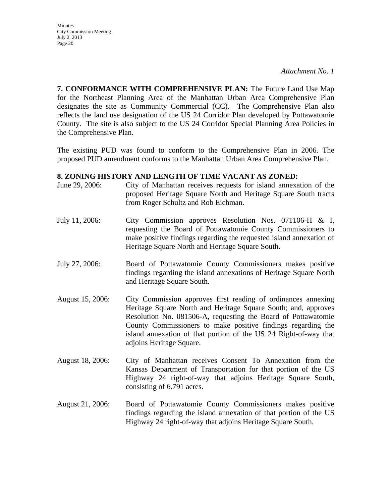*Attachment No. 1*

**7. CONFORMANCE WITH COMPREHENSIVE PLAN:** The Future Land Use Map for the Northeast Planning Area of the Manhattan Urban Area Comprehensive Plan designates the site as Community Commercial (CC). The Comprehensive Plan also reflects the land use designation of the US 24 Corridor Plan developed by Pottawatomie County. The site is also subject to the US 24 Corridor Special Planning Area Policies in the Comprehensive Plan.

The existing PUD was found to conform to the Comprehensive Plan in 2006. The proposed PUD amendment conforms to the Manhattan Urban Area Comprehensive Plan.

#### **8. ZONING HISTORY AND LENGTH OF TIME VACANT AS ZONED:**

- June 29, 2006: City of Manhattan receives requests for island annexation of the proposed Heritage Square North and Heritage Square South tracts from Roger Schultz and Rob Eichman.
- July 11, 2006: City Commission approves Resolution Nos. 071106-H & I, requesting the Board of Pottawatomie County Commissioners to make positive findings regarding the requested island annexation of Heritage Square North and Heritage Square South.
- July 27, 2006: Board of Pottawatomie County Commissioners makes positive findings regarding the island annexations of Heritage Square North and Heritage Square South.
- August 15, 2006: City Commission approves first reading of ordinances annexing Heritage Square North and Heritage Square South; and, approves Resolution No. 081506-A, requesting the Board of Pottawatomie County Commissioners to make positive findings regarding the island annexation of that portion of the US 24 Right-of-way that adjoins Heritage Square.
- August 18, 2006: City of Manhattan receives Consent To Annexation from the Kansas Department of Transportation for that portion of the US Highway 24 right-of-way that adjoins Heritage Square South, consisting of 6.791 acres.
- August 21, 2006: Board of Pottawatomie County Commissioners makes positive findings regarding the island annexation of that portion of the US Highway 24 right-of-way that adjoins Heritage Square South.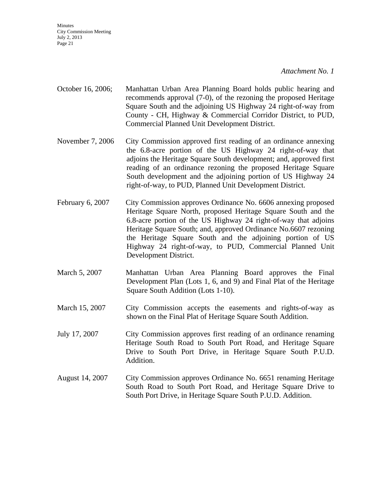*Attachment No. 1*

- October 16, 2006; Manhattan Urban Area Planning Board holds public hearing and recommends approval (7-0), of the rezoning the proposed Heritage Square South and the adjoining US Highway 24 right-of-way from County - CH, Highway & Commercial Corridor District, to PUD, Commercial Planned Unit Development District.
- November 7, 2006 City Commission approved first reading of an ordinance annexing the 6.8-acre portion of the US Highway 24 right-of-way that adjoins the Heritage Square South development; and, approved first reading of an ordinance rezoning the proposed Heritage Square South development and the adjoining portion of US Highway 24 right-of-way, to PUD, Planned Unit Development District.
- February 6, 2007 City Commission approves Ordinance No. 6606 annexing proposed Heritage Square North, proposed Heritage Square South and the 6.8-acre portion of the US Highway 24 right-of-way that adjoins Heritage Square South; and, approved Ordinance No.6607 rezoning the Heritage Square South and the adjoining portion of US Highway 24 right-of-way, to PUD, Commercial Planned Unit Development District.
- March 5, 2007 Manhattan Urban Area Planning Board approves the Final Development Plan (Lots 1, 6, and 9) and Final Plat of the Heritage Square South Addition (Lots 1-10).
- March 15, 2007 City Commission accepts the easements and rights-of-way as shown on the Final Plat of Heritage Square South Addition.
- July 17, 2007 City Commission approves first reading of an ordinance renaming Heritage South Road to South Port Road, and Heritage Square Drive to South Port Drive, in Heritage Square South P.U.D. Addition.
- August 14, 2007 City Commission approves Ordinance No. 6651 renaming Heritage South Road to South Port Road, and Heritage Square Drive to South Port Drive, in Heritage Square South P.U.D. Addition.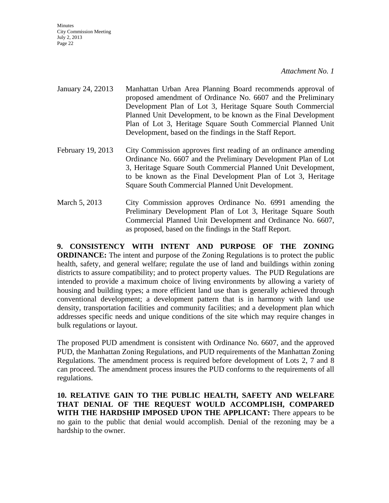*Attachment No. 1*

- January 24, 22013 Manhattan Urban Area Planning Board recommends approval of proposed amendment of Ordinance No. 6607 and the Preliminary Development Plan of Lot 3, Heritage Square South Commercial Planned Unit Development, to be known as the Final Development Plan of Lot 3, Heritage Square South Commercial Planned Unit Development, based on the findings in the Staff Report.
- February 19, 2013 City Commission approves first reading of an ordinance amending Ordinance No. 6607 and the Preliminary Development Plan of Lot 3, Heritage Square South Commercial Planned Unit Development, to be known as the Final Development Plan of Lot 3, Heritage Square South Commercial Planned Unit Development.
- March 5, 2013 City Commission approves Ordinance No. 6991 amending the Preliminary Development Plan of Lot 3, Heritage Square South Commercial Planned Unit Development and Ordinance No. 6607, as proposed, based on the findings in the Staff Report.

**9. CONSISTENCY WITH INTENT AND PURPOSE OF THE ZONING ORDINANCE:** The intent and purpose of the Zoning Regulations is to protect the public health, safety, and general welfare; regulate the use of land and buildings within zoning districts to assure compatibility; and to protect property values. The PUD Regulations are intended to provide a maximum choice of living environments by allowing a variety of housing and building types; a more efficient land use than is generally achieved through conventional development; a development pattern that is in harmony with land use density, transportation facilities and community facilities; and a development plan which addresses specific needs and unique conditions of the site which may require changes in bulk regulations or layout.

The proposed PUD amendment is consistent with Ordinance No. 6607, and the approved PUD, the Manhattan Zoning Regulations, and PUD requirements of the Manhattan Zoning Regulations. The amendment process is required before development of Lots 2, 7 and 8 can proceed. The amendment process insures the PUD conforms to the requirements of all regulations.

**10. RELATIVE GAIN TO THE PUBLIC HEALTH, SAFETY AND WELFARE THAT DENIAL OF THE REQUEST WOULD ACCOMPLISH, COMPARED WITH THE HARDSHIP IMPOSED UPON THE APPLICANT:** There appears to be no gain to the public that denial would accomplish. Denial of the rezoning may be a hardship to the owner.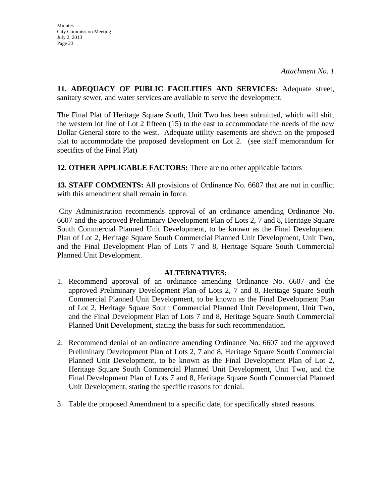**11. ADEQUACY OF PUBLIC FACILITIES AND SERVICES:** Adequate street, sanitary sewer, and water services are available to serve the development.

The Final Plat of Heritage Square South, Unit Two has been submitted, which will shift the western lot line of Lot 2 fifteen (15) to the east to accommodate the needs of the new Dollar General store to the west. Adequate utility easements are shown on the proposed plat to accommodate the proposed development on Lot 2. (see staff memorandum for specifics of the Final Plat)

**12. OTHER APPLICABLE FACTORS:** There are no other applicable factors

**13. STAFF COMMENTS:** All provisions of Ordinance No. 6607 that are not in conflict with this amendment shall remain in force.

City Administration recommends approval of an ordinance amending Ordinance No. 6607 and the approved Preliminary Development Plan of Lots 2, 7 and 8, Heritage Square South Commercial Planned Unit Development, to be known as the Final Development Plan of Lot 2, Heritage Square South Commercial Planned Unit Development, Unit Two, and the Final Development Plan of Lots 7 and 8, Heritage Square South Commercial Planned Unit Development.

### **ALTERNATIVES:**

- 1. Recommend approval of an ordinance amending Ordinance No. 6607 and the approved Preliminary Development Plan of Lots 2, 7 and 8, Heritage Square South Commercial Planned Unit Development, to be known as the Final Development Plan of Lot 2, Heritage Square South Commercial Planned Unit Development, Unit Two, and the Final Development Plan of Lots 7 and 8, Heritage Square South Commercial Planned Unit Development, stating the basis for such recommendation.
- 2. Recommend denial of an ordinance amending Ordinance No. 6607 and the approved Preliminary Development Plan of Lots 2, 7 and 8, Heritage Square South Commercial Planned Unit Development, to be known as the Final Development Plan of Lot 2, Heritage Square South Commercial Planned Unit Development, Unit Two, and the Final Development Plan of Lots 7 and 8, Heritage Square South Commercial Planned Unit Development, stating the specific reasons for denial.
- 3. Table the proposed Amendment to a specific date, for specifically stated reasons.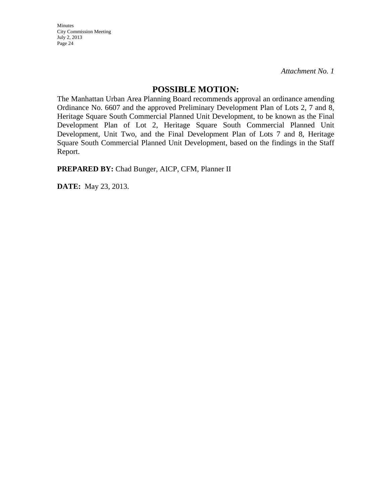*Attachment No. 1*

### **POSSIBLE MOTION:**

The Manhattan Urban Area Planning Board recommends approval an ordinance amending Ordinance No. 6607 and the approved Preliminary Development Plan of Lots 2, 7 and 8, Heritage Square South Commercial Planned Unit Development, to be known as the Final Development Plan of Lot 2, Heritage Square South Commercial Planned Unit Development, Unit Two, and the Final Development Plan of Lots 7 and 8, Heritage Square South Commercial Planned Unit Development, based on the findings in the Staff Report.

**PREPARED BY:** Chad Bunger, AICP, CFM, Planner II

**DATE:** May 23, 2013.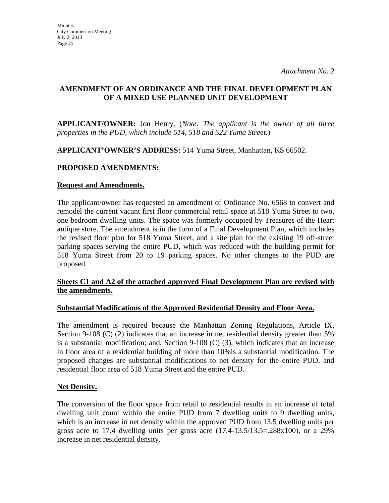### **AMENDMENT OF AN ORDINANCE AND THE FINAL DEVELOPMENT PLAN OF A MIXED USE PLANNED UNIT DEVELOPMENT**

**APPLICANT/OWNER:** Jon Henry. (*Note: The applicant is the owner of all three properties in the PUD, which include 514, 518 and 522 Yuma Street*.)

**APPLICANT'OWNER'S ADDRESS:** 514 Yuma Street, Manhattan, KS 66502.

### **PROPOSED AMENDMENTS:**

### **Request and Amendments.**

The applicant/owner has requested an amendment of Ordinance No. 6568 to convert and remodel the current vacant first floor commercial retail space at 518 Yuma Street to two, one bedroom dwelling units. The space was formerly occupied by Treasures of the Heart antique store. The amendment is in the form of a Final Development Plan, which includes the revised floor plan for 518 Yuma Street, and a site plan for the existing 19 off-street parking spaces serving the entire PUD, which was reduced with the building permit for 518 Yuma Street from 20 to 19 parking spaces. No other changes to the PUD are proposed.

### **Sheets C1 and A2 of the attached approved Final Development Plan are revised with the amendments.**

### **Substantial Modifications of the Approved Residential Density and Floor Area.**

The amendment is required because the Manhattan Zoning Regulations, Article IX, Section 9-108 (C) (2) indicates that an increase in net residential density greater than 5% is a substantial modification; and, Section 9-108 (C) (3), which indicates that an increase in floor area of a residential building of more than 10%is a substantial modification. The proposed changes are substantial modifications to net density for the entire PUD, and residential floor area of 518 Yuma Street and the entire PUD.

### **Net Density.**

The conversion of the floor space from retail to residential results in an increase of total dwelling unit count within the entire PUD from 7 dwelling units to 9 dwelling units, which is an increase in net density within the approved PUD from 13.5 dwelling units per gross acre to 17.4 dwelling units per gross acre  $(17.4-13.5/13.5=.288x100)$ , or a 29% increase in net residential density.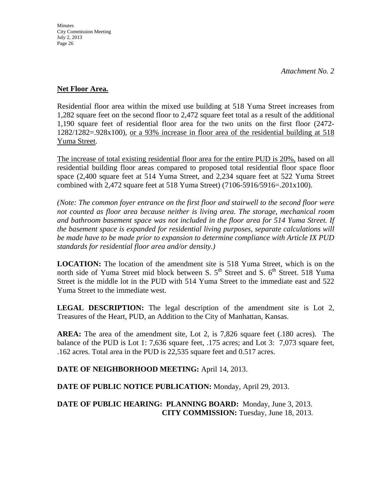### **Net Floor Area.**

Residential floor area within the mixed use building at 518 Yuma Street increases from 1,282 square feet on the second floor to 2,472 square feet total as a result of the additional 1,190 square feet of residential floor area for the two units on the first floor (2472- 1282/1282=.928x100), or a 93% increase in floor area of the residential building at 518 Yuma Street.

The increase of total existing residential floor area for the entire PUD is 20%, based on all residential building floor areas compared to proposed total residential floor space floor space (2,400 square feet at 514 Yuma Street, and 2,234 square feet at 522 Yuma Street combined with 2,472 square feet at 518 Yuma Street) (7106-5916/5916=.201x100).

*(Note: The common foyer entrance on the first floor and stairwell to the second floor were not counted as floor area because neither is living area. The storage, mechanical room and bathroom basement space was not included in the floor area for 514 Yuma Street. If the basement space is expanded for residential living purposes, separate calculations will be made have to be made prior to expansion to determine compliance with Article IX PUD standards for residential floor area and/or density.)* 

**LOCATION:** The location of the amendment site is 518 Yuma Street, which is on the north side of Yuma Street mid block between S.  $5<sup>th</sup>$  Street and S.  $6<sup>th</sup>$  Street. 518 Yuma Street is the middle lot in the PUD with 514 Yuma Street to the immediate east and 522 Yuma Street to the immediate west.

**LEGAL DESCRIPTION:** The legal description of the amendment site is Lot 2, Treasures of the Heart, PUD, an Addition to the City of Manhattan, Kansas.

**AREA:** The area of the amendment site, Lot 2, is 7,826 square feet (.180 acres). The balance of the PUD is Lot 1: 7,636 square feet, .175 acres; and Lot 3: 7,073 square feet, .162 acres. Total area in the PUD is 22,535 square feet and 0.517 acres.

**DATE OF NEIGHBORHOOD MEETING:** April 14, 2013.

**DATE OF PUBLIC NOTICE PUBLICATION:** Monday, April 29, 2013.

**DATE OF PUBLIC HEARING: PLANNING BOARD:** Monday, June 3, 2013. **CITY COMMISSION:** Tuesday, June 18, 2013.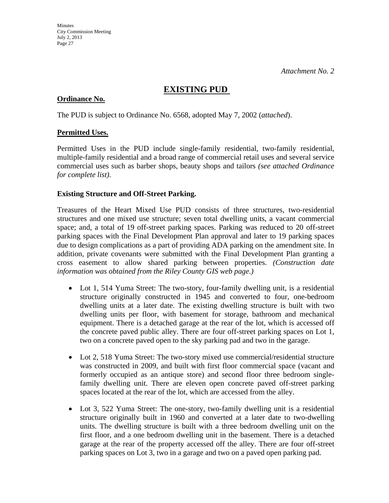## **EXISTING PUD**

### **Ordinance No.**

The PUD is subject to Ordinance No. 6568, adopted May 7, 2002 (*attached*).

### **Permitted Uses.**

Permitted Uses in the PUD include single-family residential, two-family residential, multiple-family residential and a broad range of commercial retail uses and several service commercial uses such as barber shops, beauty shops and tailors *(see attached Ordinance for complete list)*.

### **Existing Structure and Off-Street Parking.**

Treasures of the Heart Mixed Use PUD consists of three structures, two-residential structures and one mixed use structure; seven total dwelling units, a vacant commercial space; and, a total of 19 off-street parking spaces. Parking was reduced to 20 off-street parking spaces with the Final Development Plan approval and later to 19 parking spaces due to design complications as a part of providing ADA parking on the amendment site. In addition, private covenants were submitted with the Final Development Plan granting a cross easement to allow shared parking between properties. *(Construction date information was obtained from the Riley County GIS web page.)*

- Lot 1, 514 Yuma Street: The two-story, four-family dwelling unit, is a residential structure originally constructed in 1945 and converted to four, one-bedroom dwelling units at a later date. The existing dwelling structure is built with two dwelling units per floor, with basement for storage, bathroom and mechanical equipment. There is a detached garage at the rear of the lot, which is accessed off the concrete paved public alley. There are four off-street parking spaces on Lot 1, two on a concrete paved open to the sky parking pad and two in the garage.
- Lot 2, 518 Yuma Street: The two-story mixed use commercial/residential structure was constructed in 2009, and built with first floor commercial space (vacant and formerly occupied as an antique store) and second floor three bedroom singlefamily dwelling unit. There are eleven open concrete paved off-street parking spaces located at the rear of the lot, which are accessed from the alley.
- Lot 3, 522 Yuma Street: The one-story, two-family dwelling unit is a residential structure originally built in 1960 and converted at a later date to two-dwelling units. The dwelling structure is built with a three bedroom dwelling unit on the first floor, and a one bedroom dwelling unit in the basement. There is a detached garage at the rear of the property accessed off the alley. There are four off-street parking spaces on Lot 3, two in a garage and two on a paved open parking pad.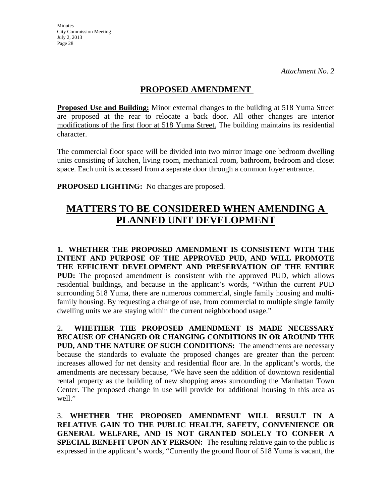## **PROPOSED AMENDMENT**

**Proposed Use and Building:** Minor external changes to the building at 518 Yuma Street are proposed at the rear to relocate a back door. All other changes are interior modifications of the first floor at 518 Yuma Street. The building maintains its residential character.

The commercial floor space will be divided into two mirror image one bedroom dwelling units consisting of kitchen, living room, mechanical room, bathroom, bedroom and closet space. Each unit is accessed from a separate door through a common foyer entrance.

**PROPOSED LIGHTING:** No changes are proposed.

# **MATTERS TO BE CONSIDERED WHEN AMENDING A PLANNED UNIT DEVELOPMENT**

**1. WHETHER THE PROPOSED AMENDMENT IS CONSISTENT WITH THE INTENT AND PURPOSE OF THE APPROVED PUD, AND WILL PROMOTE THE EFFICIENT DEVELOPMENT AND PRESERVATION OF THE ENTIRE PUD:** The proposed amendment is consistent with the approved PUD, which allows residential buildings, and because in the applicant's words, "Within the current PUD surrounding 518 Yuma, there are numerous commercial, single family housing and multifamily housing. By requesting a change of use, from commercial to multiple single family dwelling units we are staying within the current neighborhood usage."

2**. WHETHER THE PROPOSED AMENDMENT IS MADE NECESSARY BECAUSE OF CHANGED OR CHANGING CONDITIONS IN OR AROUND THE PUD, AND THE NATURE OF SUCH CONDITIONS:** The amendments are necessary because the standards to evaluate the proposed changes are greater than the percent increases allowed for net density and residential floor are. In the applicant's words, the amendments are necessary because, "We have seen the addition of downtown residential rental property as the building of new shopping areas surrounding the Manhattan Town Center. The proposed change in use will provide for additional housing in this area as well."

3. **WHETHER THE PROPOSED AMENDMENT WILL RESULT IN A RELATIVE GAIN TO THE PUBLIC HEALTH, SAFETY, CONVENIENCE OR GENERAL WELFARE, AND IS NOT GRANTED SOLELY TO CONFER A SPECIAL BENEFIT UPON ANY PERSON:** The resulting relative gain to the public is expressed in the applicant's words, "Currently the ground floor of 518 Yuma is vacant, the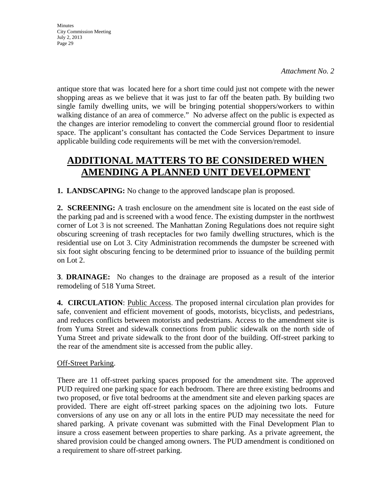*Attachment No. 2*

antique store that was located here for a short time could just not compete with the newer shopping areas as we believe that it was just to far off the beaten path. By building two single family dwelling units, we will be bringing potential shoppers/workers to within walking distance of an area of commerce." No adverse affect on the public is expected as the changes are interior remodeling to convert the commercial ground floor to residential space. The applicant's consultant has contacted the Code Services Department to insure applicable building code requirements will be met with the conversion/remodel.

# **ADDITIONAL MATTERS TO BE CONSIDERED WHEN AMENDING A PLANNED UNIT DEVELOPMENT**

**1. LANDSCAPING:** No change to the approved landscape plan is proposed.

2. **SCREENING:** A trash enclosure on the amendment site is located on the east side of the parking pad and is screened with a wood fence. The existing dumpster in the northwest corner of Lot 3 is not screened. The Manhattan Zoning Regulations does not require sight obscuring screening of trash receptacles for two family dwelling structures, which is the residential use on Lot 3. City Administration recommends the dumpster be screened with six foot sight obscuring fencing to be determined prior to issuance of the building permit on Lot 2.

**3**. **DRAINAGE:** No changes to the drainage are proposed as a result of the interior remodeling of 518 Yuma Street.

**4. CIRCULATION**: Public Access. The proposed internal circulation plan provides for safe, convenient and efficient movement of goods, motorists, bicyclists, and pedestrians, and reduces conflicts between motorists and pedestrians. Access to the amendment site is from Yuma Street and sidewalk connections from public sidewalk on the north side of Yuma Street and private sidewalk to the front door of the building. Off-street parking to the rear of the amendment site is accessed from the public alley.

### Off-Street Parking.

There are 11 off-street parking spaces proposed for the amendment site. The approved PUD required one parking space for each bedroom. There are three existing bedrooms and two proposed, or five total bedrooms at the amendment site and eleven parking spaces are provided. There are eight off-street parking spaces on the adjoining two lots. Future conversions of any use on any or all lots in the entire PUD may necessitate the need for shared parking. A private covenant was submitted with the Final Development Plan to insure a cross easement between properties to share parking. As a private agreement, the shared provision could be changed among owners. The PUD amendment is conditioned on a requirement to share off-street parking.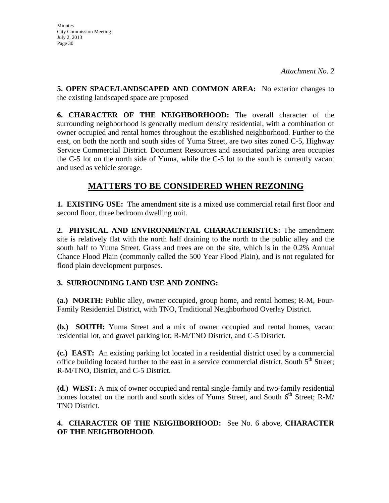**Minutes** City Commission Meeting July 2, 2013 Page 30

**5. OPEN SPACE/LANDSCAPED AND COMMON AREA:** No exterior changes to the existing landscaped space are proposed

**6. CHARACTER OF THE NEIGHBORHOOD:** The overall character of the surrounding neighborhood is generally medium density residential, with a combination of owner occupied and rental homes throughout the established neighborhood. Further to the east, on both the north and south sides of Yuma Street, are two sites zoned C-5, Highway Service Commercial District. Document Resources and associated parking area occupies the C-5 lot on the north side of Yuma, while the C-5 lot to the south is currently vacant and used as vehicle storage.

# **MATTERS TO BE CONSIDERED WHEN REZONING**

**1. EXISTING USE:** The amendment site is a mixed use commercial retail first floor and second floor, three bedroom dwelling unit.

**2. PHYSICAL AND ENVIRONMENTAL CHARACTERISTICS:** The amendment site is relatively flat with the north half draining to the north to the public alley and the south half to Yuma Street. Grass and trees are on the site, which is in the 0.2% Annual Chance Flood Plain (commonly called the 500 Year Flood Plain), and is not regulated for flood plain development purposes.

## **3. SURROUNDING LAND USE AND ZONING:**

**(a.) NORTH:** Public alley, owner occupied, group home, and rental homes; R-M, Four-Family Residential District, with TNO, Traditional Neighborhood Overlay District.

**(b.) SOUTH:** Yuma Street and a mix of owner occupied and rental homes, vacant residential lot, and gravel parking lot; R-M/TNO District, and C-5 District.

**(c.) EAST:** An existing parking lot located in a residential district used by a commercial office building located further to the east in a service commercial district, South  $5<sup>th</sup>$  Street; R-M/TNO, District, and C-5 District.

**(d.) WEST:** A mix of owner occupied and rental single-family and two-family residential homes located on the north and south sides of Yuma Street, and South  $6<sup>th</sup>$  Street; R-M/ TNO District.

### **4. CHARACTER OF THE NEIGHBORHOOD:** See No. 6 above, **CHARACTER OF THE NEIGHBORHOOD**.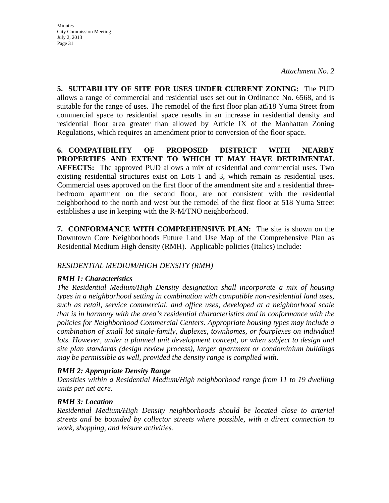*Attachment No. 2*

**5. SUITABILITY OF SITE FOR USES UNDER CURRENT ZONING:** The PUD allows a range of commercial and residential uses set out in Ordinance No. 6568, and is suitable for the range of uses. The remodel of the first floor plan at518 Yuma Street from commercial space to residential space results in an increase in residential density and residential floor area greater than allowed by Article IX of the Manhattan Zoning Regulations, which requires an amendment prior to conversion of the floor space.

**6. COMPATIBILITY OF PROPOSED DISTRICT WITH NEARBY PROPERTIES AND EXTENT TO WHICH IT MAY HAVE DETRIMENTAL AFFECTS:** The approved PUD allows a mix of residential and commercial uses. Two existing residential structures exist on Lots 1 and 3, which remain as residential uses. Commercial uses approved on the first floor of the amendment site and a residential threebedroom apartment on the second floor, are not consistent with the residential neighborhood to the north and west but the remodel of the first floor at 518 Yuma Street establishes a use in keeping with the R-M/TNO neighborhood.

**7. CONFORMANCE WITH COMPREHENSIVE PLAN:** The site is shown on the Downtown Core Neighborhoods Future Land Use Map of the Comprehensive Plan as Residential Medium High density (RMH). Applicable policies (Italics) include:

### *RESIDENTIAL MEDIUM/HIGH DENSITY (RMH)*

### *RMH 1: Characteristics*

*The Residential Medium/High Density designation shall incorporate a mix of housing types in a neighborhood setting in combination with compatible non-residential land uses, such as retail, service commercial, and office uses, developed at a neighborhood scale that is in harmony with the area's residential characteristics and in conformance with the policies for Neighborhood Commercial Centers. Appropriate housing types may include a combination of small lot single-family, duplexes, townhomes, or fourplexes on individual*  lots. However, under a planned unit development concept, or when subject to design and *site plan standards (design review process), larger apartment or condominium buildings may be permissible as well, provided the density range is complied with.* 

### *RMH 2: Appropriate Density Range*

*Densities within a Residential Medium/High neighborhood range from 11 to 19 dwelling units per net acre.* 

### *RMH 3: Location*

*Residential Medium/High Density neighborhoods should be located close to arterial streets and be bounded by collector streets where possible, with a direct connection to work, shopping, and leisure activities.*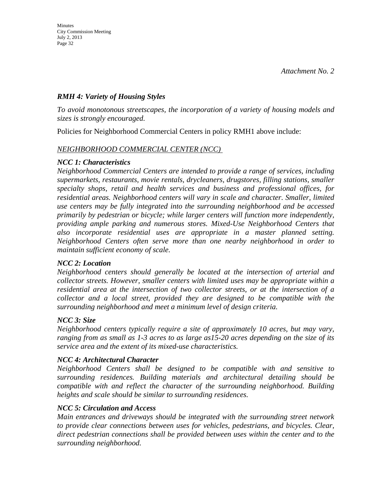### *RMH 4: Variety of Housing Styles*

*To avoid monotonous streetscapes, the incorporation of a variety of housing models and sizes is strongly encouraged.* 

Policies for Neighborhood Commercial Centers in policy RMH1 above include:

### *NEIGHBORHOOD COMMERCIAL CENTER (NCC)*

### *NCC 1: Characteristics*

*Neighborhood Commercial Centers are intended to provide a range of services, including supermarkets, restaurants, movie rentals, drycleaners, drugstores, filling stations, smaller specialty shops, retail and health services and business and professional offices, for residential areas. Neighborhood centers will vary in scale and character. Smaller, limited use centers may be fully integrated into the surrounding neighborhood and be accessed primarily by pedestrian or bicycle; while larger centers will function more independently, providing ample parking and numerous stores. Mixed-Use Neighborhood Centers that also incorporate residential uses are appropriate in a master planned setting. Neighborhood Centers often serve more than one nearby neighborhood in order to maintain sufficient economy of scale.* 

### *NCC 2: Location*

*Neighborhood centers should generally be located at the intersection of arterial and collector streets. However, smaller centers with limited uses may be appropriate within a residential area at the intersection of two collector streets, or at the intersection of a collector and a local street, provided they are designed to be compatible with the surrounding neighborhood and meet a minimum level of design criteria.* 

### *NCC 3: Size*

*Neighborhood centers typically require a site of approximately 10 acres, but may vary, ranging from as small as 1-3 acres to as large as15-20 acres depending on the size of its service area and the extent of its mixed-use characteristics.* 

### *NCC 4: Architectural Character*

*Neighborhood Centers shall be designed to be compatible with and sensitive to surrounding residences. Building materials and architectural detailing should be compatible with and reflect the character of the surrounding neighborhood. Building heights and scale should be similar to surrounding residences.* 

### *NCC 5: Circulation and Access*

*Main entrances and driveways should be integrated with the surrounding street network to provide clear connections between uses for vehicles, pedestrians, and bicycles. Clear, direct pedestrian connections shall be provided between uses within the center and to the surrounding neighborhood.*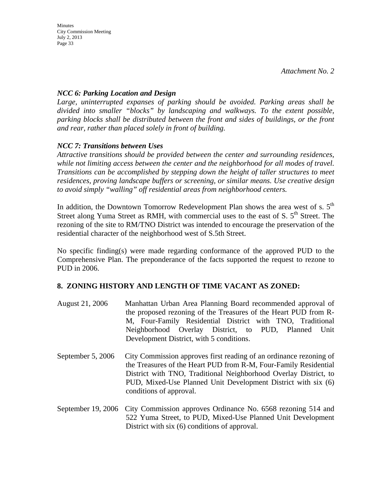### *NCC 6: Parking Location and Design*

*Large, uninterrupted expanses of parking should be avoided. Parking areas shall be divided into smaller "blocks" by landscaping and walkways. To the extent possible, parking blocks shall be distributed between the front and sides of buildings, or the front and rear, rather than placed solely in front of building.* 

## *NCC 7: Transitions between Uses*

*Attractive transitions should be provided between the center and surrounding residences, while not limiting access between the center and the neighborhood for all modes of travel. Transitions can be accomplished by stepping down the height of taller structures to meet residences, proving landscape buffers or screening, or similar means. Use creative design to avoid simply "walling" off residential areas from neighborhood centers.* 

In addition, the Downtown Tomorrow Redevelopment Plan shows the area west of s.  $5<sup>th</sup>$ Street along Yuma Street as RMH, with commercial uses to the east of S.  $5<sup>th</sup>$  Street. The rezoning of the site to RM/TNO District was intended to encourage the preservation of the residential character of the neighborhood west of S.5th Street.

No specific finding(s) were made regarding conformance of the approved PUD to the Comprehensive Plan. The preponderance of the facts supported the request to rezone to PUD in 2006.

### **8. ZONING HISTORY AND LENGTH OF TIME VACANT AS ZONED:**

- August 21, 2006 Manhattan Urban Area Planning Board recommended approval of the proposed rezoning of the Treasures of the Heart PUD from R-M, Four-Family Residential District with TNO, Traditional Neighborhood Overlay District, to PUD, Planned Unit Development District, with 5 conditions.
- September 5, 2006 City Commission approves first reading of an ordinance rezoning of the Treasures of the Heart PUD from R-M, Four-Family Residential District with TNO, Traditional Neighborhood Overlay District, to PUD, Mixed-Use Planned Unit Development District with six (6) conditions of approval.
- September 19, 2006 City Commission approves Ordinance No. 6568 rezoning 514 and 522 Yuma Street, to PUD, Mixed-Use Planned Unit Development District with six (6) conditions of approval.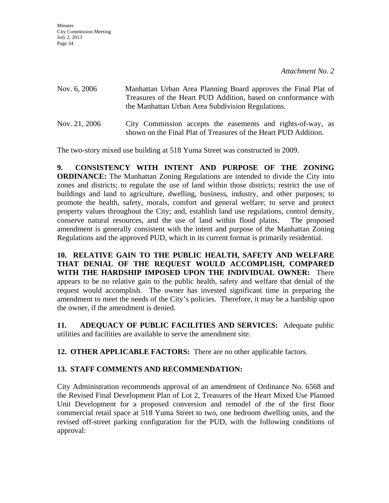| Nov. 6, 2006  | Manhattan Urban Area Planning Board approves the Final Plat of<br>Treasures of the Heart PUD Addition, based on conformance with<br>the Manhattan Urban Area Subdivision Regulations. |
|---------------|---------------------------------------------------------------------------------------------------------------------------------------------------------------------------------------|
| Nov. 21, 2006 | City Commission accepts the easements and rights-of-way, as<br>shown on the Final Plat of Treasures of the Heart PUD Addition.                                                        |

The two-story mixed use building at 518 Yuma Street was constructed in 2009.

**9. CONSISTENCY WITH INTENT AND PURPOSE OF THE ZONING ORDINANCE:** The Manhattan Zoning Regulations are intended to divide the City into zones and districts; to regulate the use of land within those districts; restrict the use of buildings and land to agriculture, dwelling, business, industry, and other purposes; to promote the health, safety, morals, comfort and general welfare; to serve and protect property values throughout the City; and, establish land use regulations, control density, conserve natural resources, and the use of land within flood plains. The proposed amendment is generally consistent with the intent and purpose of the Manhattan Zoning Regulations and the approved PUD, which in its current format is primarily residential.

**10. RELATIVE GAIN TO THE PUBLIC HEALTH, SAFETY AND WELFARE THAT DENIAL OF THE REQUEST WOULD ACCOMPLISH, COMPARED WITH THE HARDSHIP IMPOSED UPON THE INDIVIDUAL OWNER:** There appears to be no relative gain to the public health, safety and welfare that denial of the request would accomplish. The owner has invested significant time in preparing the amendment to meet the needs of the City's policies. Therefore, it may be a hardship upon the owner, if the amendment is denied.

**11. ADEQUACY OF PUBLIC FACILITIES AND SERVICES:** Adequate public utilities and facilities are available to serve the amendment site.

**12. OTHER APPLICABLE FACTORS:** There are no other applicable factors.

### **13. STAFF COMMENTS AND RECOMMENDATION:**

City Administration recommends approval of an amendment of Ordinance No. 6568 and the Revised Final Development Plan of Lot 2, Treasures of the Heart Mixed Use Planned Unit Development for a proposed conversion and remodel of the of the first floor commercial retail space at 518 Yuma Street to two, one bedroom dwelling units, and the revised off-street parking configuration for the PUD, with the following conditions of approval: